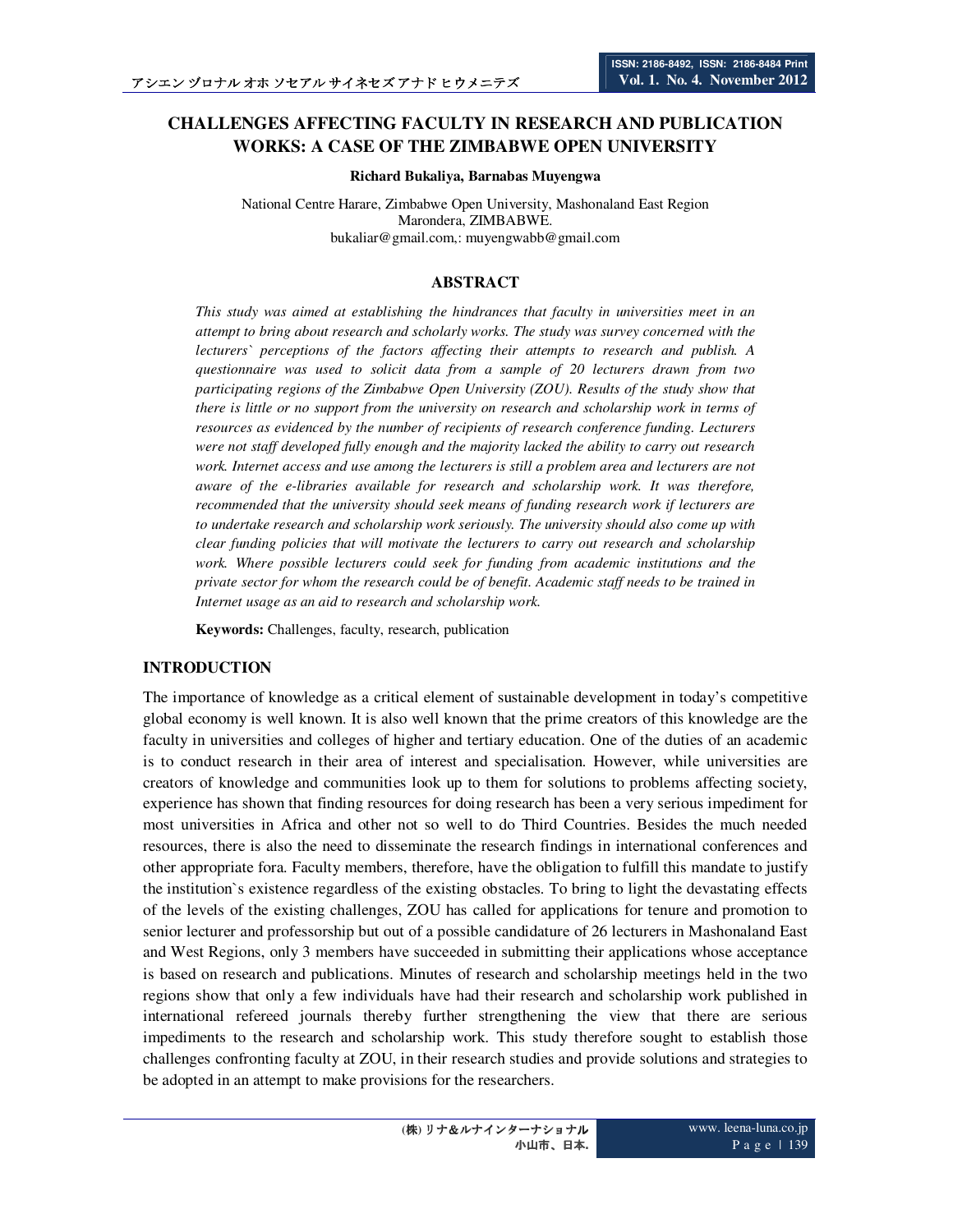# **CHALLENGES AFFECTING FACULTY IN RESEARCH AND PUBLICATION WORKS: A CASE OF THE ZIMBABWE OPEN UNIVERSITY**

**Richard Bukaliya, Barnabas Muyengwa**

National Centre Harare, Zimbabwe Open University, Mashonaland East Region Marondera, ZIMBABWE. bukaliar@gmail.com,: muyengwabb@gmail.com

### **ABSTRACT**

*This study was aimed at establishing the hindrances that faculty in universities meet in an attempt to bring about research and scholarly works. The study was survey concerned with the lecturers` perceptions of the factors affecting their attempts to research and publish. A questionnaire was used to solicit data from a sample of 20 lecturers drawn from two participating regions of the Zimbabwe Open University (ZOU). Results of the study show that there is little or no support from the university on research and scholarship work in terms of resources as evidenced by the number of recipients of research conference funding. Lecturers were not staff developed fully enough and the majority lacked the ability to carry out research work. Internet access and use among the lecturers is still a problem area and lecturers are not aware of the e-libraries available for research and scholarship work. It was therefore, recommended that the university should seek means of funding research work if lecturers are to undertake research and scholarship work seriously. The university should also come up with clear funding policies that will motivate the lecturers to carry out research and scholarship work. Where possible lecturers could seek for funding from academic institutions and the private sector for whom the research could be of benefit. Academic staff needs to be trained in Internet usage as an aid to research and scholarship work.* 

**Keywords:** Challenges, faculty, research, publication

### **INTRODUCTION**

The importance of knowledge as a critical element of sustainable development in today's competitive global economy is well known. It is also well known that the prime creators of this knowledge are the faculty in universities and colleges of higher and tertiary education. One of the duties of an academic is to conduct research in their area of interest and specialisation. However, while universities are creators of knowledge and communities look up to them for solutions to problems affecting society, experience has shown that finding resources for doing research has been a very serious impediment for most universities in Africa and other not so well to do Third Countries. Besides the much needed resources, there is also the need to disseminate the research findings in international conferences and other appropriate fora. Faculty members, therefore, have the obligation to fulfill this mandate to justify the institution`s existence regardless of the existing obstacles. To bring to light the devastating effects of the levels of the existing challenges, ZOU has called for applications for tenure and promotion to senior lecturer and professorship but out of a possible candidature of 26 lecturers in Mashonaland East and West Regions, only 3 members have succeeded in submitting their applications whose acceptance is based on research and publications. Minutes of research and scholarship meetings held in the two regions show that only a few individuals have had their research and scholarship work published in international refereed journals thereby further strengthening the view that there are serious impediments to the research and scholarship work. This study therefore sought to establish those challenges confronting faculty at ZOU, in their research studies and provide solutions and strategies to be adopted in an attempt to make provisions for the researchers.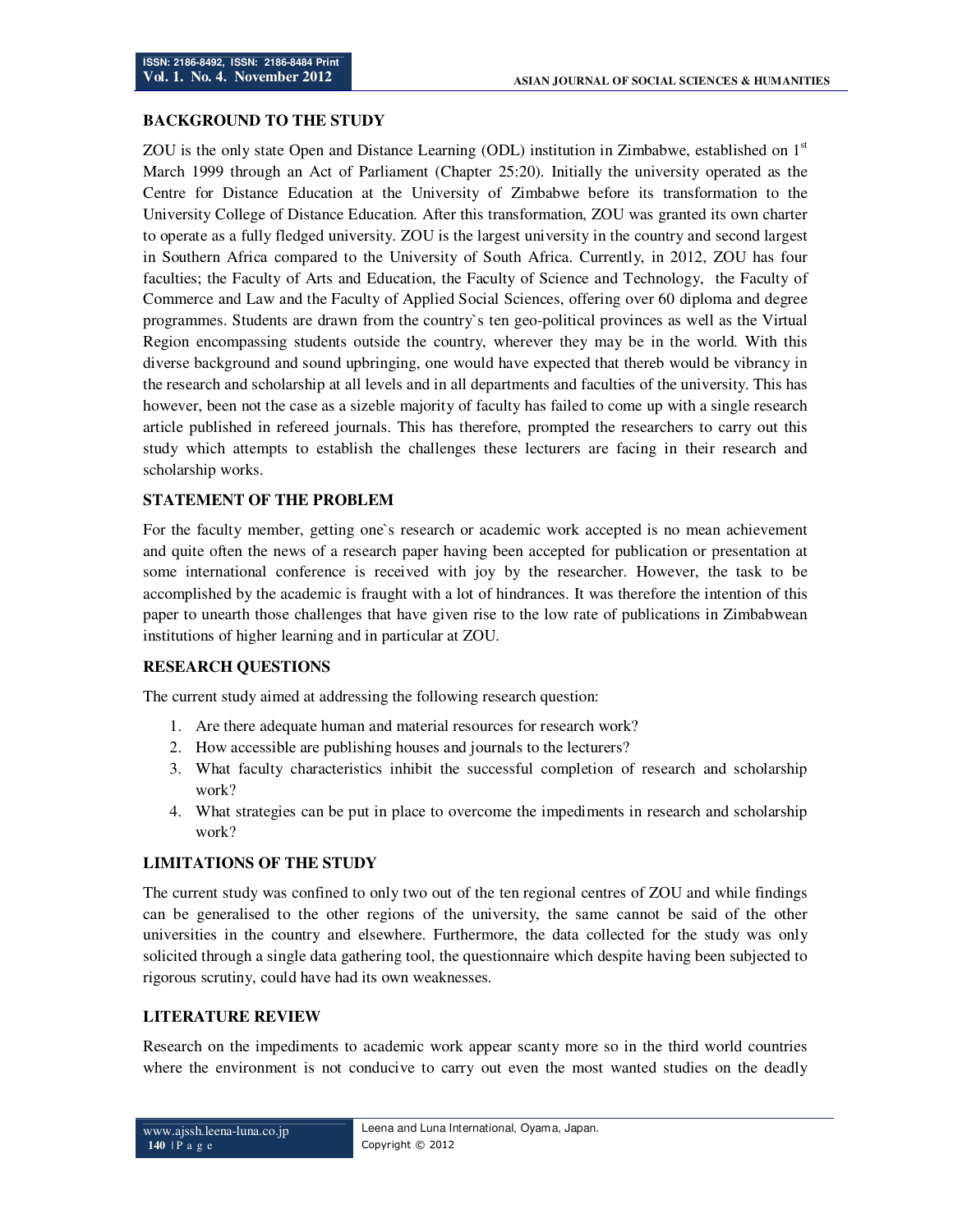# **BACKGROUND TO THE STUDY**

ZOU is the only state Open and Distance Learning (ODL) institution in Zimbabwe, established on  $1<sup>st</sup>$ March 1999 through an Act of Parliament (Chapter 25:20). Initially the university operated as the Centre for Distance Education at the University of Zimbabwe before its transformation to the University College of Distance Education. After this transformation, ZOU was granted its own charter to operate as a fully fledged university. ZOU is the largest university in the country and second largest in Southern Africa compared to the University of South Africa. Currently, in 2012, ZOU has four faculties; the Faculty of Arts and Education, the Faculty of Science and Technology, the Faculty of Commerce and Law and the Faculty of Applied Social Sciences, offering over 60 diploma and degree programmes. Students are drawn from the country`s ten geo-political provinces as well as the Virtual Region encompassing students outside the country, wherever they may be in the world. With this diverse background and sound upbringing, one would have expected that thereb would be vibrancy in the research and scholarship at all levels and in all departments and faculties of the university. This has however, been not the case as a sizeble majority of faculty has failed to come up with a single research article published in refereed journals. This has therefore, prompted the researchers to carry out this study which attempts to establish the challenges these lecturers are facing in their research and scholarship works.

### **STATEMENT OF THE PROBLEM**

For the faculty member, getting one`s research or academic work accepted is no mean achievement and quite often the news of a research paper having been accepted for publication or presentation at some international conference is received with joy by the researcher. However, the task to be accomplished by the academic is fraught with a lot of hindrances. It was therefore the intention of this paper to unearth those challenges that have given rise to the low rate of publications in Zimbabwean institutions of higher learning and in particular at ZOU.

### **RESEARCH QUESTIONS**

The current study aimed at addressing the following research question:

- 1. Are there adequate human and material resources for research work?
- 2. How accessible are publishing houses and journals to the lecturers?
- 3. What faculty characteristics inhibit the successful completion of research and scholarship work?
- 4. What strategies can be put in place to overcome the impediments in research and scholarship work?

### **LIMITATIONS OF THE STUDY**

The current study was confined to only two out of the ten regional centres of ZOU and while findings can be generalised to the other regions of the university, the same cannot be said of the other universities in the country and elsewhere. Furthermore, the data collected for the study was only solicited through a single data gathering tool, the questionnaire which despite having been subjected to rigorous scrutiny, could have had its own weaknesses.

### **LITERATURE REVIEW**

Research on the impediments to academic work appear scanty more so in the third world countries where the environment is not conducive to carry out even the most wanted studies on the deadly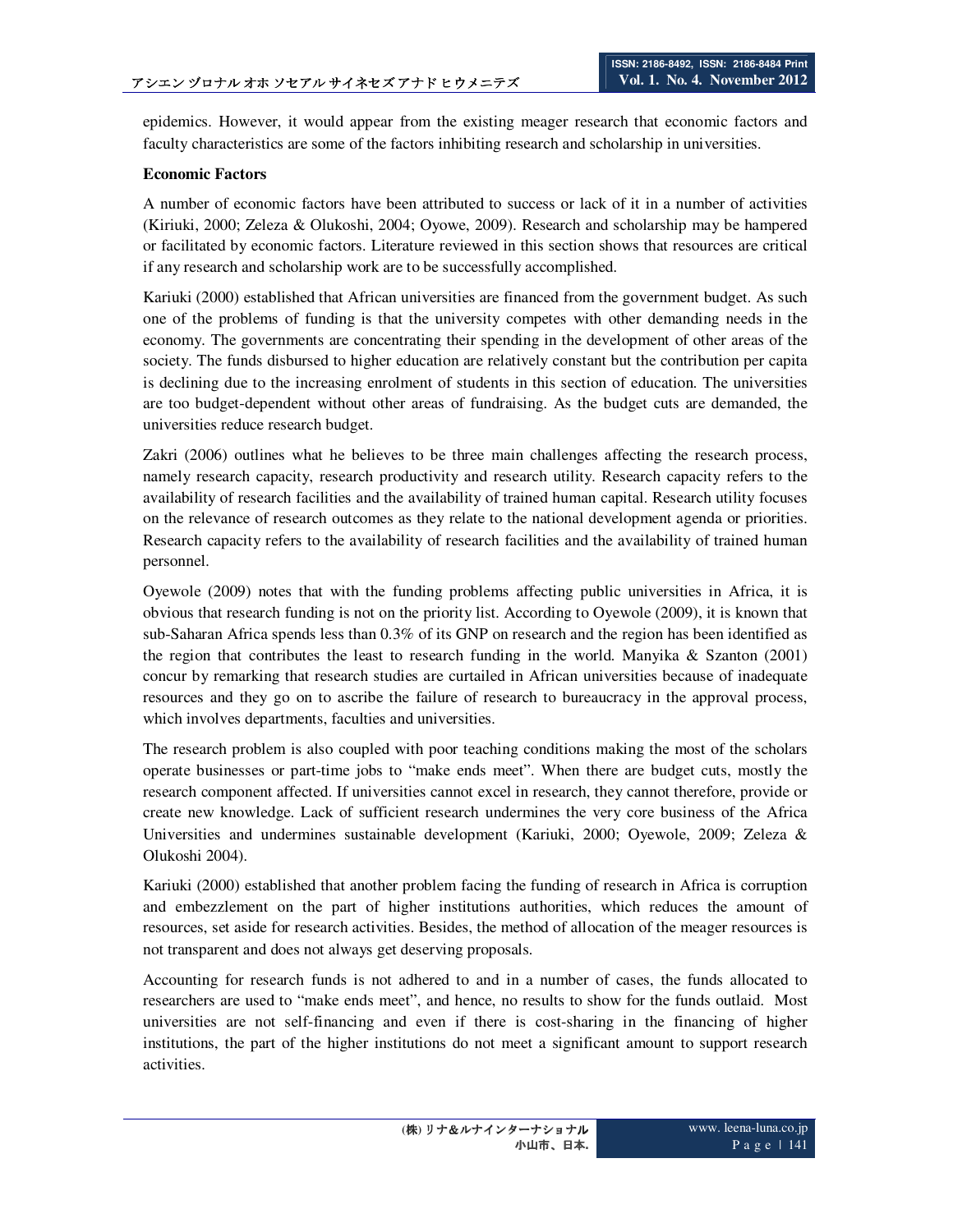epidemics. However, it would appear from the existing meager research that economic factors and faculty characteristics are some of the factors inhibiting research and scholarship in universities.

### **Economic Factors**

A number of economic factors have been attributed to success or lack of it in a number of activities (Kiriuki, 2000; Zeleza & Olukoshi, 2004; Oyowe, 2009). Research and scholarship may be hampered or facilitated by economic factors. Literature reviewed in this section shows that resources are critical if any research and scholarship work are to be successfully accomplished.

Kariuki (2000) established that African universities are financed from the government budget. As such one of the problems of funding is that the university competes with other demanding needs in the economy. The governments are concentrating their spending in the development of other areas of the society. The funds disbursed to higher education are relatively constant but the contribution per capita is declining due to the increasing enrolment of students in this section of education. The universities are too budget-dependent without other areas of fundraising. As the budget cuts are demanded, the universities reduce research budget.

Zakri (2006) outlines what he believes to be three main challenges affecting the research process, namely research capacity, research productivity and research utility. Research capacity refers to the availability of research facilities and the availability of trained human capital. Research utility focuses on the relevance of research outcomes as they relate to the national development agenda or priorities. Research capacity refers to the availability of research facilities and the availability of trained human personnel.

Oyewole (2009) notes that with the funding problems affecting public universities in Africa, it is obvious that research funding is not on the priority list. According to Oyewole (2009), it is known that sub-Saharan Africa spends less than 0.3% of its GNP on research and the region has been identified as the region that contributes the least to research funding in the world. Manyika  $\&$  Szanton (2001) concur by remarking that research studies are curtailed in African universities because of inadequate resources and they go on to ascribe the failure of research to bureaucracy in the approval process, which involves departments, faculties and universities.

The research problem is also coupled with poor teaching conditions making the most of the scholars operate businesses or part-time jobs to "make ends meet". When there are budget cuts, mostly the research component affected. If universities cannot excel in research, they cannot therefore, provide or create new knowledge. Lack of sufficient research undermines the very core business of the Africa Universities and undermines sustainable development (Kariuki, 2000; Oyewole, 2009; Zeleza & Olukoshi 2004).

Kariuki (2000) established that another problem facing the funding of research in Africa is corruption and embezzlement on the part of higher institutions authorities, which reduces the amount of resources, set aside for research activities. Besides, the method of allocation of the meager resources is not transparent and does not always get deserving proposals.

Accounting for research funds is not adhered to and in a number of cases, the funds allocated to researchers are used to "make ends meet", and hence, no results to show for the funds outlaid. Most universities are not self-financing and even if there is cost-sharing in the financing of higher institutions, the part of the higher institutions do not meet a significant amount to support research activities.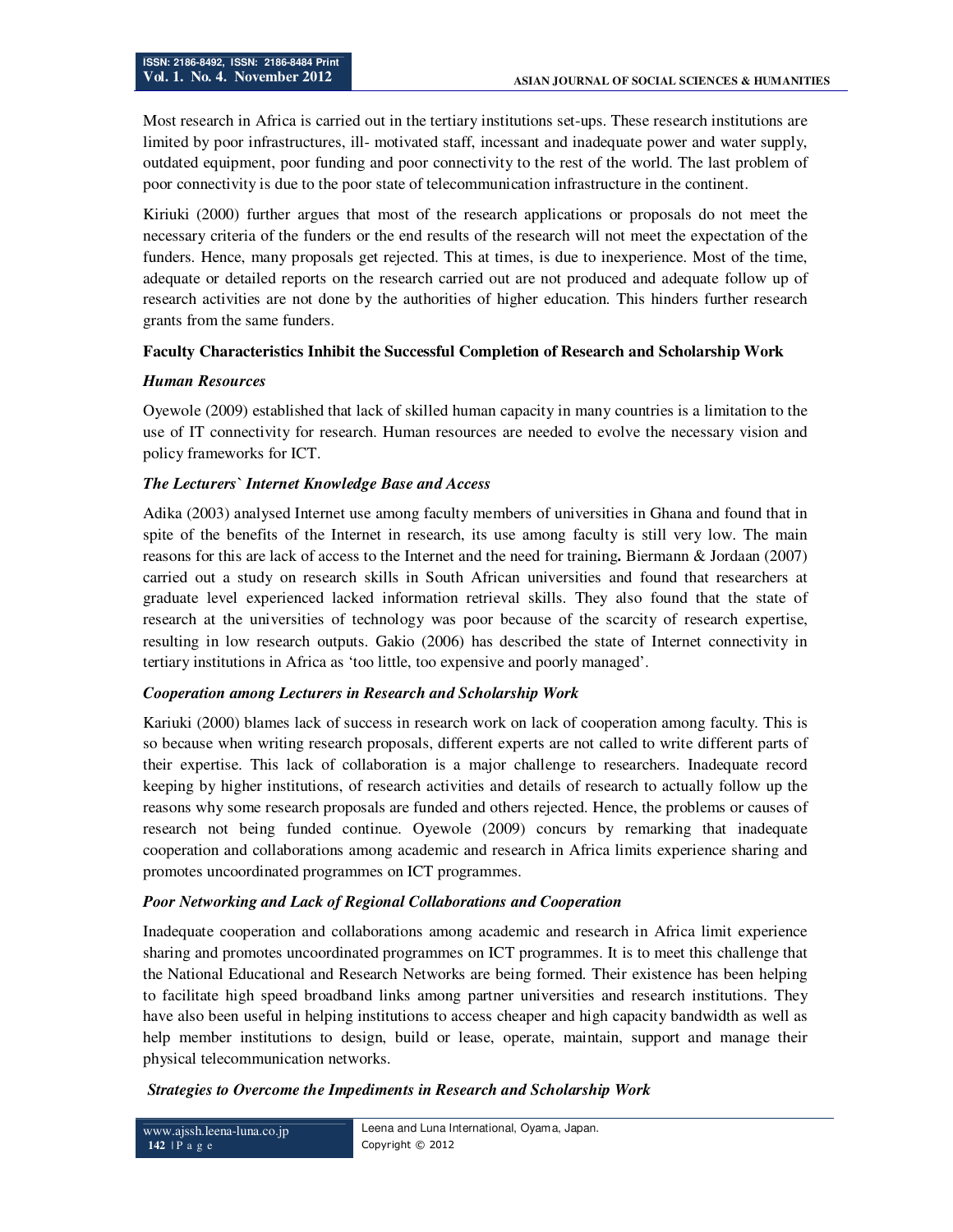Most research in Africa is carried out in the tertiary institutions set-ups. These research institutions are limited by poor infrastructures, ill- motivated staff, incessant and inadequate power and water supply, outdated equipment, poor funding and poor connectivity to the rest of the world. The last problem of poor connectivity is due to the poor state of telecommunication infrastructure in the continent.

Kiriuki (2000) further argues that most of the research applications or proposals do not meet the necessary criteria of the funders or the end results of the research will not meet the expectation of the funders. Hence, many proposals get rejected. This at times, is due to inexperience. Most of the time, adequate or detailed reports on the research carried out are not produced and adequate follow up of research activities are not done by the authorities of higher education. This hinders further research grants from the same funders.

### **Faculty Characteristics Inhibit the Successful Completion of Research and Scholarship Work**

### *Human Resources*

Oyewole (2009) established that lack of skilled human capacity in many countries is a limitation to the use of IT connectivity for research. Human resources are needed to evolve the necessary vision and policy frameworks for ICT.

### *The Lecturers` Internet Knowledge Base and Access*

Adika (2003) analysed Internet use among faculty members of universities in Ghana and found that in spite of the benefits of the Internet in research, its use among faculty is still very low. The main reasons for this are lack of access to the Internet and the need for training**.** Biermann & Jordaan (2007) carried out a study on research skills in South African universities and found that researchers at graduate level experienced lacked information retrieval skills. They also found that the state of research at the universities of technology was poor because of the scarcity of research expertise, resulting in low research outputs. Gakio (2006) has described the state of Internet connectivity in tertiary institutions in Africa as 'too little, too expensive and poorly managed'.

### *Cooperation among Lecturers in Research and Scholarship Work*

Kariuki (2000) blames lack of success in research work on lack of cooperation among faculty. This is so because when writing research proposals, different experts are not called to write different parts of their expertise. This lack of collaboration is a major challenge to researchers. Inadequate record keeping by higher institutions, of research activities and details of research to actually follow up the reasons why some research proposals are funded and others rejected. Hence, the problems or causes of research not being funded continue. Oyewole (2009) concurs by remarking that inadequate cooperation and collaborations among academic and research in Africa limits experience sharing and promotes uncoordinated programmes on ICT programmes.

### *Poor Networking and Lack of Regional Collaborations and Cooperation*

Inadequate cooperation and collaborations among academic and research in Africa limit experience sharing and promotes uncoordinated programmes on ICT programmes. It is to meet this challenge that the National Educational and Research Networks are being formed. Their existence has been helping to facilitate high speed broadband links among partner universities and research institutions. They have also been useful in helping institutions to access cheaper and high capacity bandwidth as well as help member institutions to design, build or lease, operate, maintain, support and manage their physical telecommunication networks.

### *Strategies to Overcome the Impediments in Research and Scholarship Work*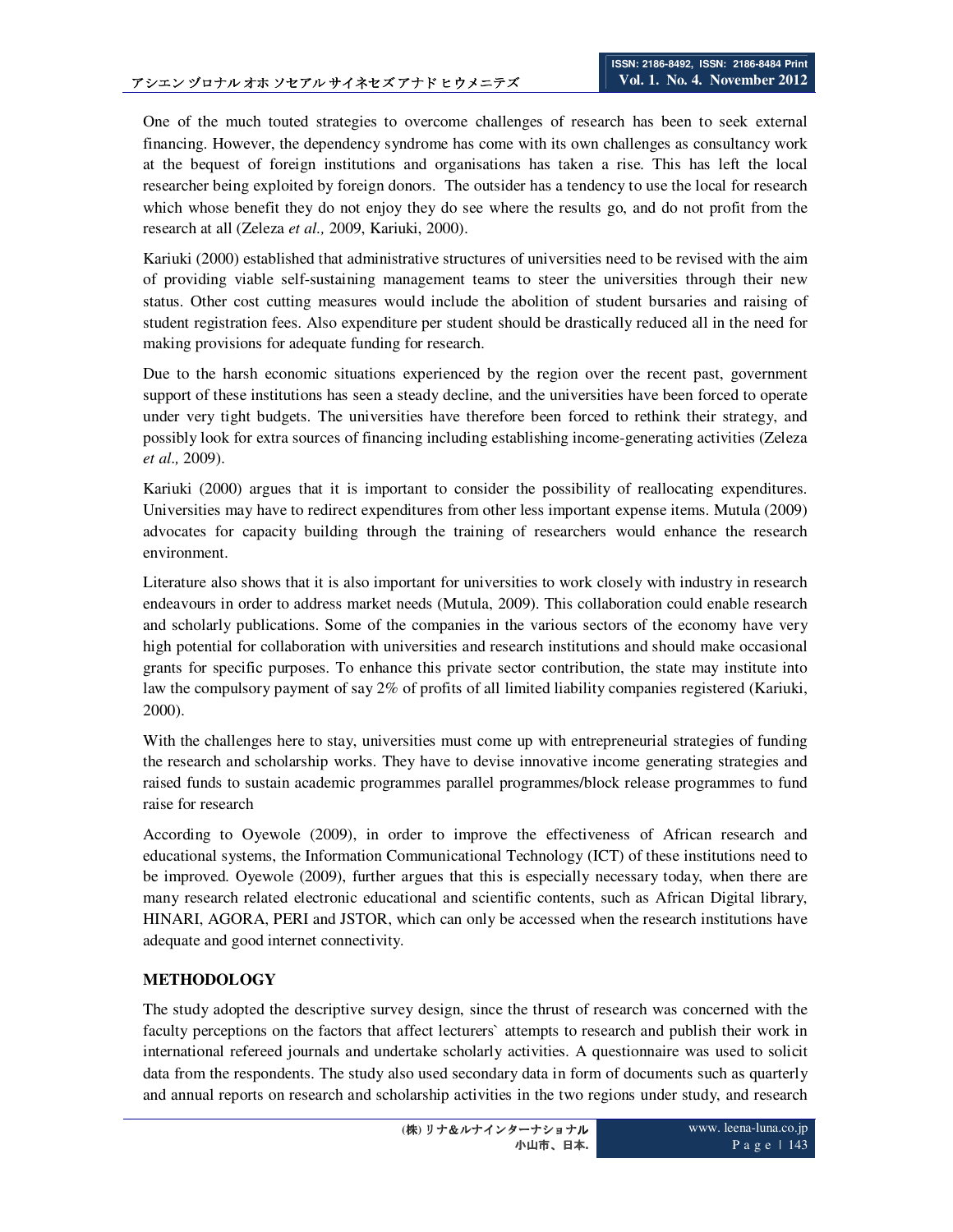One of the much touted strategies to overcome challenges of research has been to seek external financing. However, the dependency syndrome has come with its own challenges as consultancy work at the bequest of foreign institutions and organisations has taken a rise. This has left the local researcher being exploited by foreign donors. The outsider has a tendency to use the local for research which whose benefit they do not enjoy they do see where the results go, and do not profit from the research at all (Zeleza *et al.,* 2009, Kariuki, 2000).

Kariuki (2000) established that administrative structures of universities need to be revised with the aim of providing viable self-sustaining management teams to steer the universities through their new status. Other cost cutting measures would include the abolition of student bursaries and raising of student registration fees. Also expenditure per student should be drastically reduced all in the need for making provisions for adequate funding for research.

Due to the harsh economic situations experienced by the region over the recent past, government support of these institutions has seen a steady decline, and the universities have been forced to operate under very tight budgets. The universities have therefore been forced to rethink their strategy, and possibly look for extra sources of financing including establishing income-generating activities (Zeleza *et al.,* 2009).

Kariuki (2000) argues that it is important to consider the possibility of reallocating expenditures. Universities may have to redirect expenditures from other less important expense items. Mutula (2009) advocates for capacity building through the training of researchers would enhance the research environment.

Literature also shows that it is also important for universities to work closely with industry in research endeavours in order to address market needs (Mutula, 2009). This collaboration could enable research and scholarly publications. Some of the companies in the various sectors of the economy have very high potential for collaboration with universities and research institutions and should make occasional grants for specific purposes. To enhance this private sector contribution, the state may institute into law the compulsory payment of say 2% of profits of all limited liability companies registered (Kariuki, 2000).

With the challenges here to stay, universities must come up with entrepreneurial strategies of funding the research and scholarship works. They have to devise innovative income generating strategies and raised funds to sustain academic programmes parallel programmes/block release programmes to fund raise for research

According to Oyewole (2009), in order to improve the effectiveness of African research and educational systems, the Information Communicational Technology (ICT) of these institutions need to be improved. Oyewole (2009), further argues that this is especially necessary today, when there are many research related electronic educational and scientific contents, such as African Digital library, HINARI, AGORA, PERI and JSTOR, which can only be accessed when the research institutions have adequate and good internet connectivity.

# **METHODOLOGY**

The study adopted the descriptive survey design, since the thrust of research was concerned with the faculty perceptions on the factors that affect lecturers` attempts to research and publish their work in international refereed journals and undertake scholarly activities. A questionnaire was used to solicit data from the respondents. The study also used secondary data in form of documents such as quarterly and annual reports on research and scholarship activities in the two regions under study, and research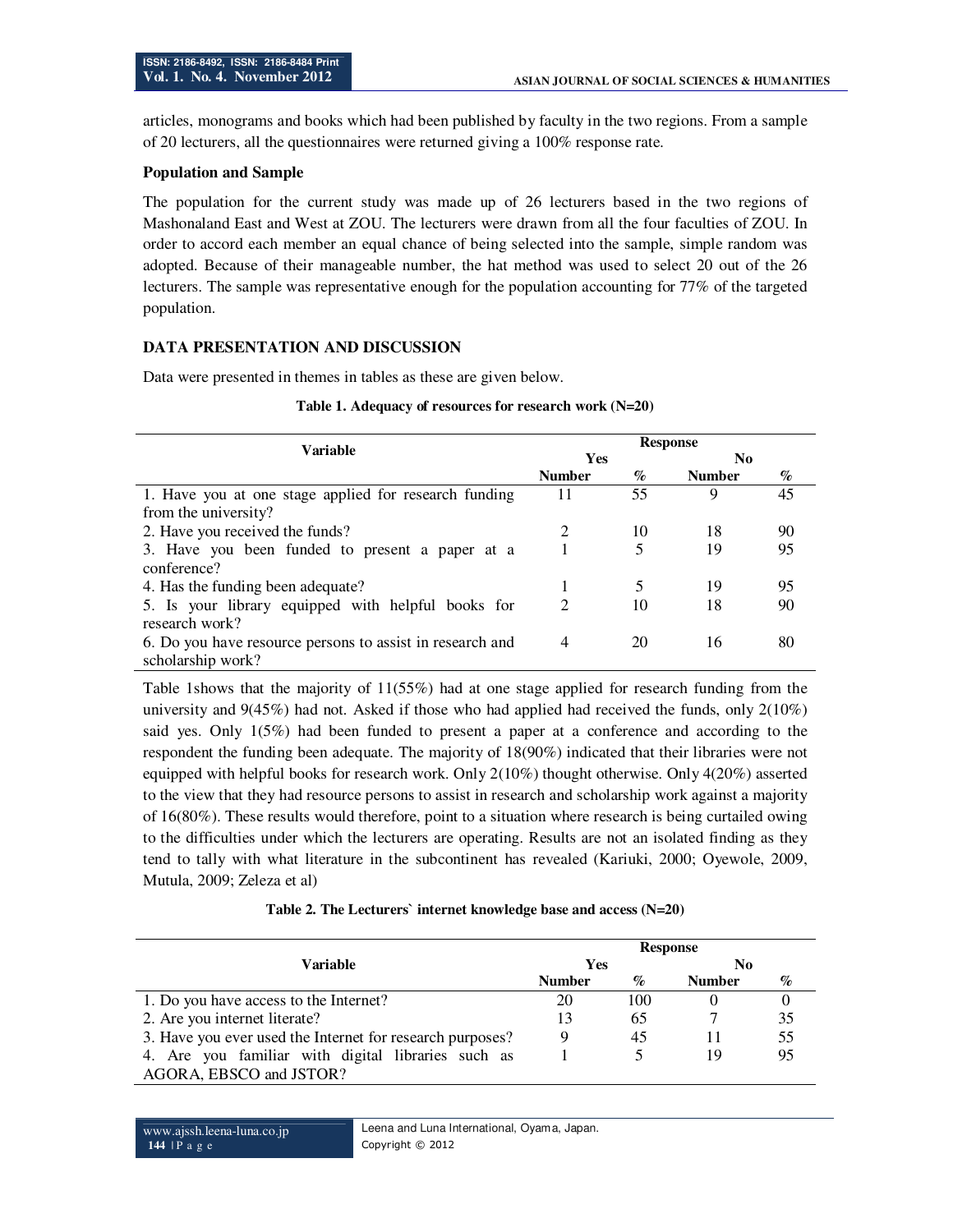articles, monograms and books which had been published by faculty in the two regions. From a sample of 20 lecturers, all the questionnaires were returned giving a 100% response rate.

#### **Population and Sample**

The population for the current study was made up of 26 lecturers based in the two regions of Mashonaland East and West at ZOU. The lecturers were drawn from all the four faculties of ZOU. In order to accord each member an equal chance of being selected into the sample, simple random was adopted. Because of their manageable number, the hat method was used to select 20 out of the 26 lecturers. The sample was representative enough for the population accounting for 77% of the targeted population.

# **DATA PRESENTATION AND DISCUSSION**

Data were presented in themes in tables as these are given below.

| <b>Variable</b>                                           | <b>Response</b> |      |                |    |  |
|-----------------------------------------------------------|-----------------|------|----------------|----|--|
|                                                           | <b>Yes</b>      |      | N <sub>0</sub> |    |  |
|                                                           | <b>Number</b>   | $\%$ | <b>Number</b>  | %  |  |
| 1. Have you at one stage applied for research funding     | 11              | 55   | 9              | 45 |  |
| from the university?                                      |                 |      |                |    |  |
| 2. Have you received the funds?                           |                 | 10   | 18             | 90 |  |
| 3. Have you been funded to present a paper at a           |                 | 5    | 19             | 95 |  |
| conference?                                               |                 |      |                |    |  |
| 4. Has the funding been adequate?                         |                 |      | 19             | 95 |  |
| 5. Is your library equipped with helpful books for        | 2               | 10   | 18             | 90 |  |
| research work?                                            |                 |      |                |    |  |
| 6. Do you have resource persons to assist in research and | 4               | 20   | 16             | 80 |  |
| scholarship work?                                         |                 |      |                |    |  |

#### **Table 1. Adequacy of resources for research work (N=20)**

Table 1shows that the majority of 11(55%) had at one stage applied for research funding from the university and 9(45%) had not. Asked if those who had applied had received the funds, only 2(10%) said yes. Only 1(5%) had been funded to present a paper at a conference and according to the respondent the funding been adequate. The majority of 18(90%) indicated that their libraries were not equipped with helpful books for research work. Only 2(10%) thought otherwise. Only 4(20%) asserted to the view that they had resource persons to assist in research and scholarship work against a majority of 16(80%). These results would therefore, point to a situation where research is being curtailed owing to the difficulties under which the lecturers are operating. Results are not an isolated finding as they tend to tally with what literature in the subcontinent has revealed (Kariuki, 2000; Oyewole, 2009, Mutula, 2009; Zeleza et al)

|  |  | Table 2. The Lecturers' internet knowledge base and access $(N=20)$ |
|--|--|---------------------------------------------------------------------|
|--|--|---------------------------------------------------------------------|

|                                                           | <b>Response</b> |      |               |      |
|-----------------------------------------------------------|-----------------|------|---------------|------|
| Variable                                                  | Yes             |      | N0            |      |
|                                                           | <b>Number</b>   | $\%$ | <b>Number</b> | $\%$ |
| 1. Do you have access to the Internet?                    | 20              | 100  |               |      |
| 2. Are you internet literate?                             | 13              | 65   |               | 35   |
| 3. Have you ever used the Internet for research purposes? | 9               | 45   | 11            | 55   |
| 4. Are you familiar with digital libraries such as        |                 |      | 19            | 95   |
| AGORA, EBSCO and JSTOR?                                   |                 |      |               |      |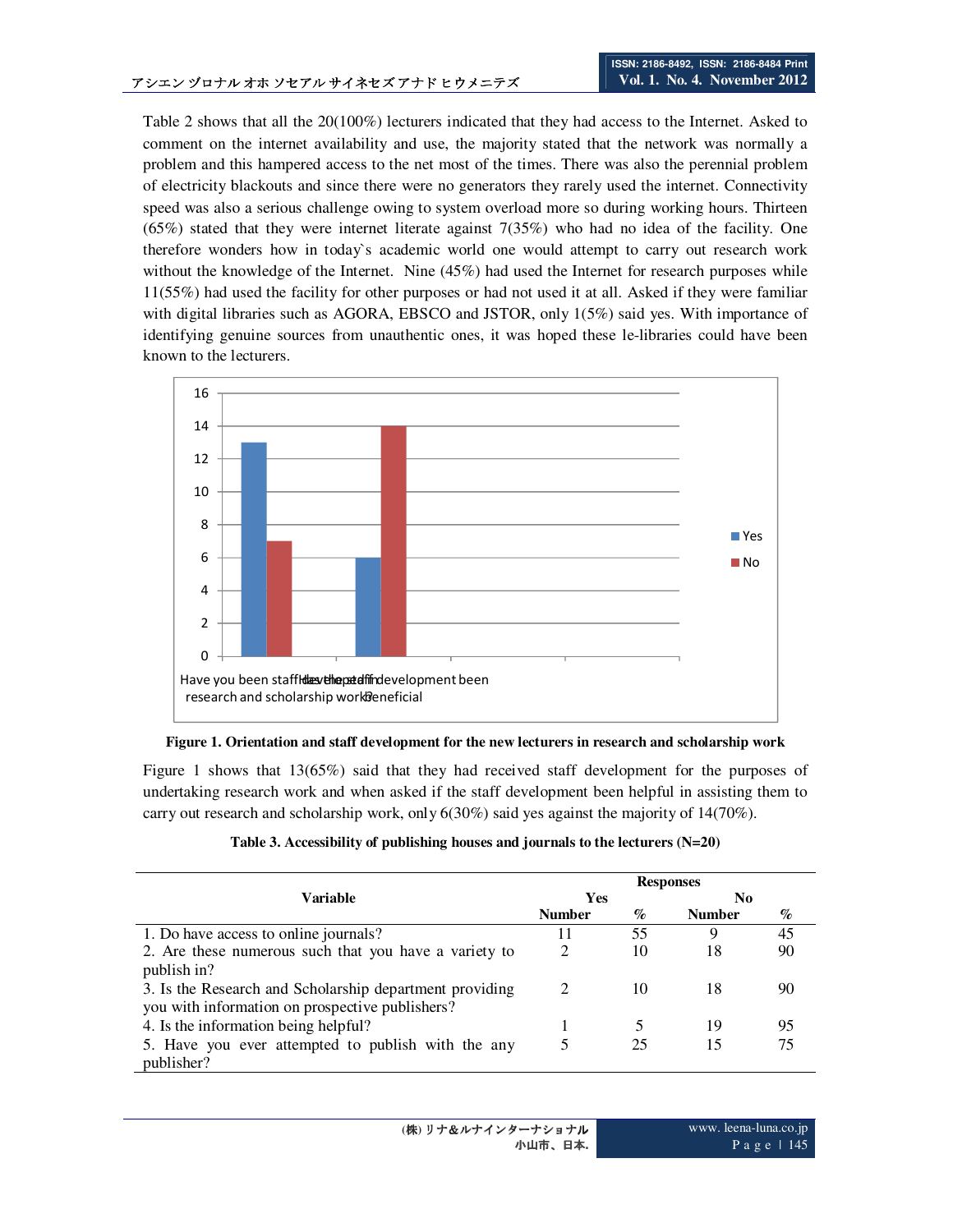Table 2 shows that all the 20(100%) lecturers indicated that they had access to the Internet. Asked to comment on the internet availability and use, the majority stated that the network was normally a problem and this hampered access to the net most of the times. There was also the perennial problem of electricity blackouts and since there were no generators they rarely used the internet. Connectivity speed was also a serious challenge owing to system overload more so during working hours. Thirteen  $(65%)$  stated that they were internet literate against 7(35%) who had no idea of the facility. One therefore wonders how in today`s academic world one would attempt to carry out research work without the knowledge of the Internet. Nine (45%) had used the Internet for research purposes while 11(55%) had used the facility for other purposes or had not used it at all. Asked if they were familiar with digital libraries such as AGORA, EBSCO and JSTOR, only 1(5%) said yes. With importance of identifying genuine sources from unauthentic ones, it was hoped these le-libraries could have been known to the lecturers.



**Figure 1. Orientation and staff development for the new lecturers in research and scholarship work** 

Figure 1 shows that 13(65%) said that they had received staff development for the purposes of undertaking research work and when asked if the staff development been helpful in assisting them to carry out research and scholarship work, only 6(30%) said yes against the majority of 14(70%).

| Table 3. Accessibility of publishing houses and journals to the lecturers $(N=20)$ |  |  |  |
|------------------------------------------------------------------------------------|--|--|--|
|                                                                                    |  |  |  |

|                                                         | <b>Responses</b> |      |               |      |
|---------------------------------------------------------|------------------|------|---------------|------|
| Variable                                                | <b>Yes</b>       |      | N0            |      |
|                                                         | <b>Number</b>    | $\%$ | <b>Number</b> | $\%$ |
| 1. Do have access to online journals?                   | 11               | 55   | 9             | 45   |
| 2. Are these numerous such that you have a variety to   | 2                | 10   | 18            | 90   |
| publish in?                                             |                  |      |               |      |
| 3. Is the Research and Scholarship department providing | $\mathcal{D}$    | 10   | 18            | 90   |
| you with information on prospective publishers?         |                  |      |               |      |
| 4. Is the information being helpful?                    |                  |      | 19            | 95   |
| 5. Have you ever attempted to publish with the any      |                  | 25   | 15            | 75   |
| publisher?                                              |                  |      |               |      |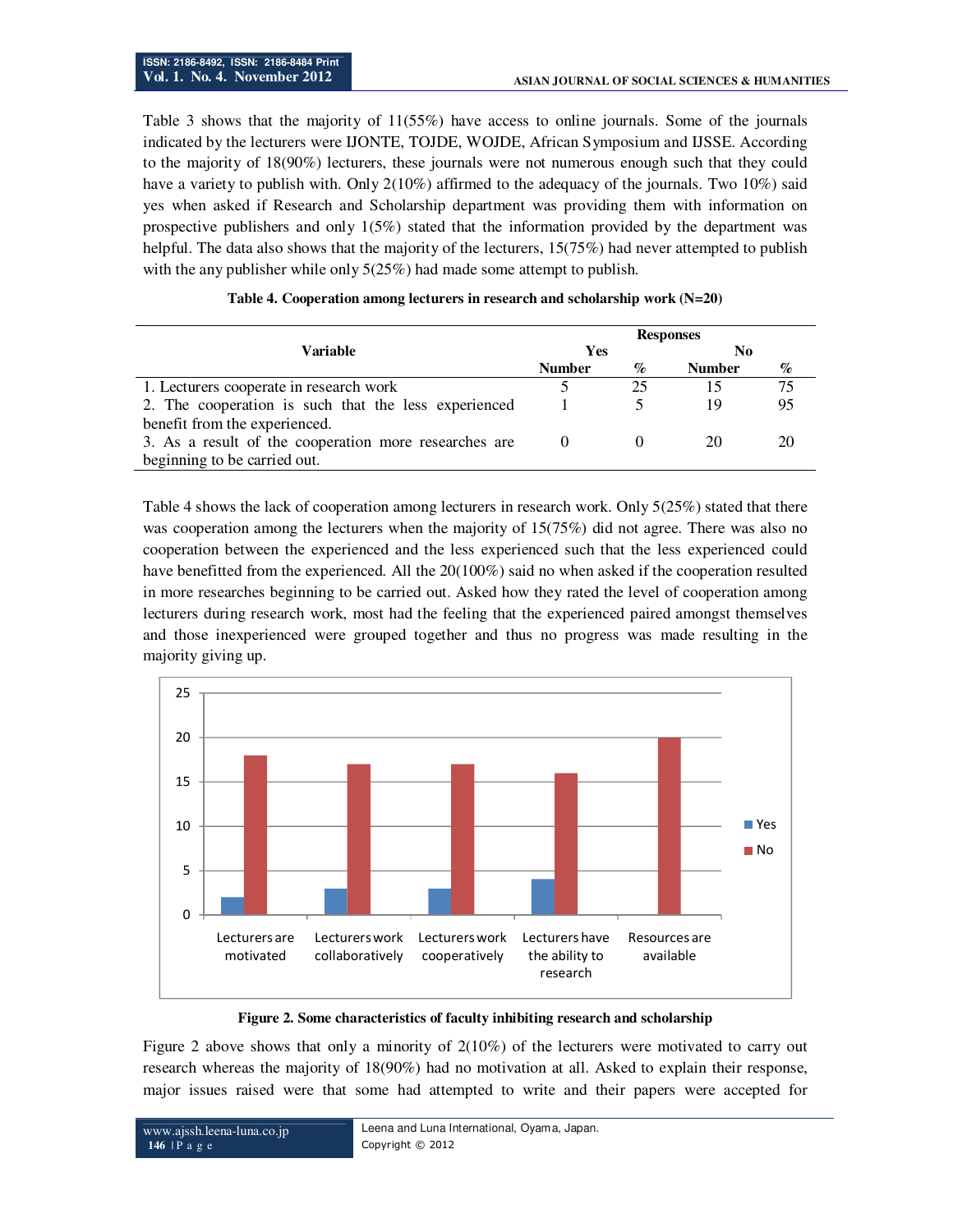Table 3 shows that the majority of 11(55%) have access to online journals. Some of the journals indicated by the lecturers were IJONTE, TOJDE, WOJDE, African Symposium and IJSSE. According to the majority of 18(90%) lecturers, these journals were not numerous enough such that they could have a variety to publish with. Only 2(10%) affirmed to the adequacy of the journals. Two 10%) said yes when asked if Research and Scholarship department was providing them with information on prospective publishers and only 1(5%) stated that the information provided by the department was helpful. The data also shows that the majority of the lecturers, 15(75%) had never attempted to publish with the any publisher while only 5(25%) had made some attempt to publish.

|                                                       | <b>Responses</b> |      |               |    |
|-------------------------------------------------------|------------------|------|---------------|----|
| Variable                                              | Yes              |      | No.           |    |
|                                                       | <b>Number</b>    | $\%$ | <b>Number</b> | %  |
| 1. Lecturers cooperate in research work               |                  | 25   |               | 75 |
| 2. The cooperation is such that the less experienced  |                  |      | 19            | 95 |
| benefit from the experienced.                         |                  |      |               |    |
| 3. As a result of the cooperation more researches are | $\theta$         |      | 20            | 20 |
| beginning to be carried out.                          |                  |      |               |    |
|                                                       |                  |      |               |    |

#### **Table 4. Cooperation among lecturers in research and scholarship work (N=20)**

Table 4 shows the lack of cooperation among lecturers in research work. Only 5(25%) stated that there was cooperation among the lecturers when the majority of 15(75%) did not agree. There was also no cooperation between the experienced and the less experienced such that the less experienced could have benefitted from the experienced. All the 20(100%) said no when asked if the cooperation resulted in more researches beginning to be carried out. Asked how they rated the level of cooperation among lecturers during research work, most had the feeling that the experienced paired amongst themselves and those inexperienced were grouped together and thus no progress was made resulting in the majority giving up.



**Figure 2. Some characteristics of faculty inhibiting research and scholarship** 

Figure 2 above shows that only a minority of 2(10%) of the lecturers were motivated to carry out research whereas the majority of 18(90%) had no motivation at all. Asked to explain their response, major issues raised were that some had attempted to write and their papers were accepted for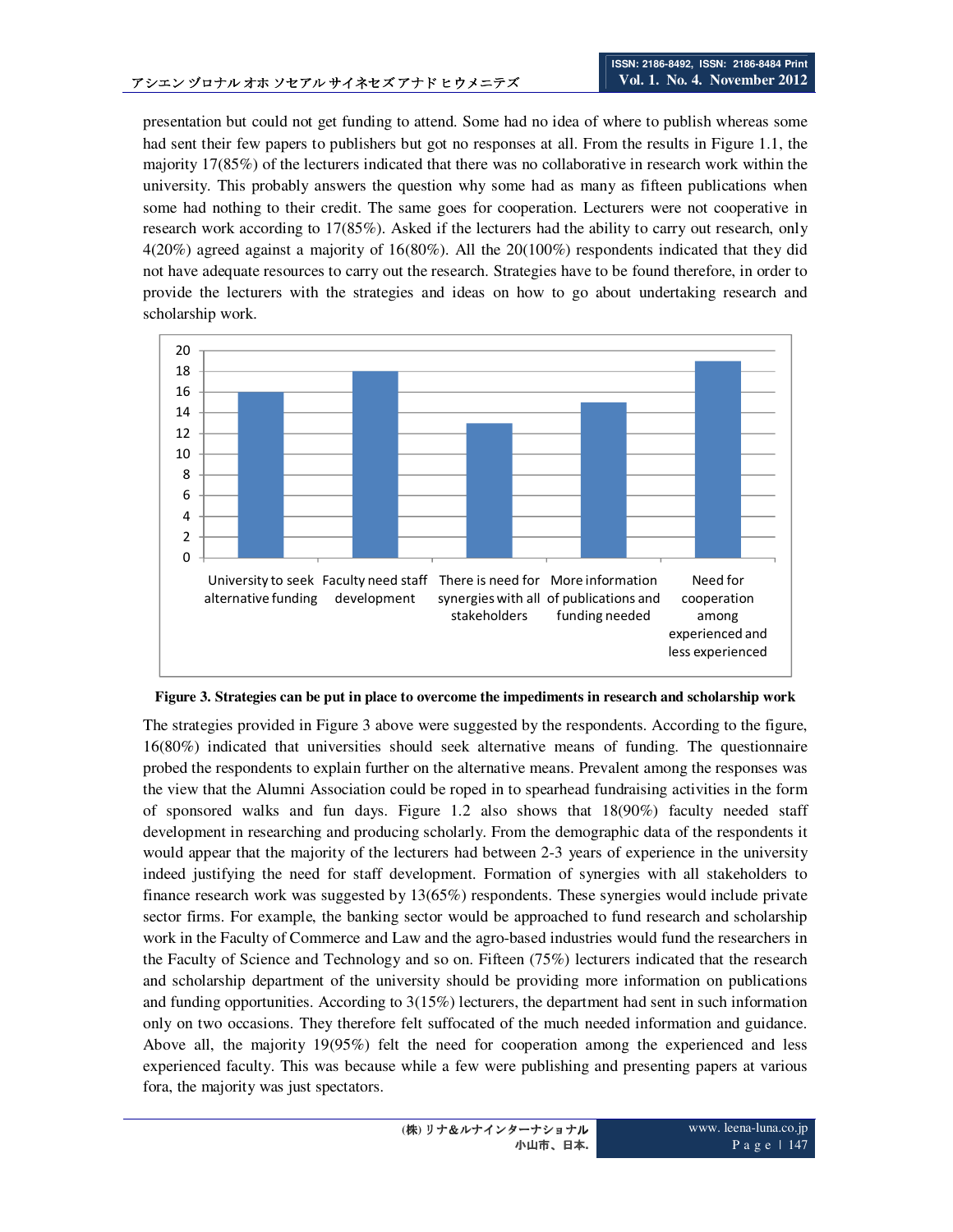presentation but could not get funding to attend. Some had no idea of where to publish whereas some had sent their few papers to publishers but got no responses at all. From the results in Figure 1.1, the majority 17(85%) of the lecturers indicated that there was no collaborative in research work within the university. This probably answers the question why some had as many as fifteen publications when some had nothing to their credit. The same goes for cooperation. Lecturers were not cooperative in research work according to 17(85%). Asked if the lecturers had the ability to carry out research, only 4(20%) agreed against a majority of 16(80%). All the 20(100%) respondents indicated that they did not have adequate resources to carry out the research. Strategies have to be found therefore, in order to provide the lecturers with the strategies and ideas on how to go about undertaking research and scholarship work.



**Figure 3. Strategies can be put in place to overcome the impediments in research and scholarship work** 

The strategies provided in Figure 3 above were suggested by the respondents. According to the figure, 16(80%) indicated that universities should seek alternative means of funding. The questionnaire probed the respondents to explain further on the alternative means. Prevalent among the responses was the view that the Alumni Association could be roped in to spearhead fundraising activities in the form of sponsored walks and fun days. Figure 1.2 also shows that 18(90%) faculty needed staff development in researching and producing scholarly. From the demographic data of the respondents it would appear that the majority of the lecturers had between 2-3 years of experience in the university indeed justifying the need for staff development. Formation of synergies with all stakeholders to finance research work was suggested by 13(65%) respondents. These synergies would include private sector firms. For example, the banking sector would be approached to fund research and scholarship work in the Faculty of Commerce and Law and the agro-based industries would fund the researchers in the Faculty of Science and Technology and so on. Fifteen (75%) lecturers indicated that the research and scholarship department of the university should be providing more information on publications and funding opportunities. According to 3(15%) lecturers, the department had sent in such information only on two occasions. They therefore felt suffocated of the much needed information and guidance. Above all, the majority 19(95%) felt the need for cooperation among the experienced and less experienced faculty. This was because while a few were publishing and presenting papers at various fora, the majority was just spectators.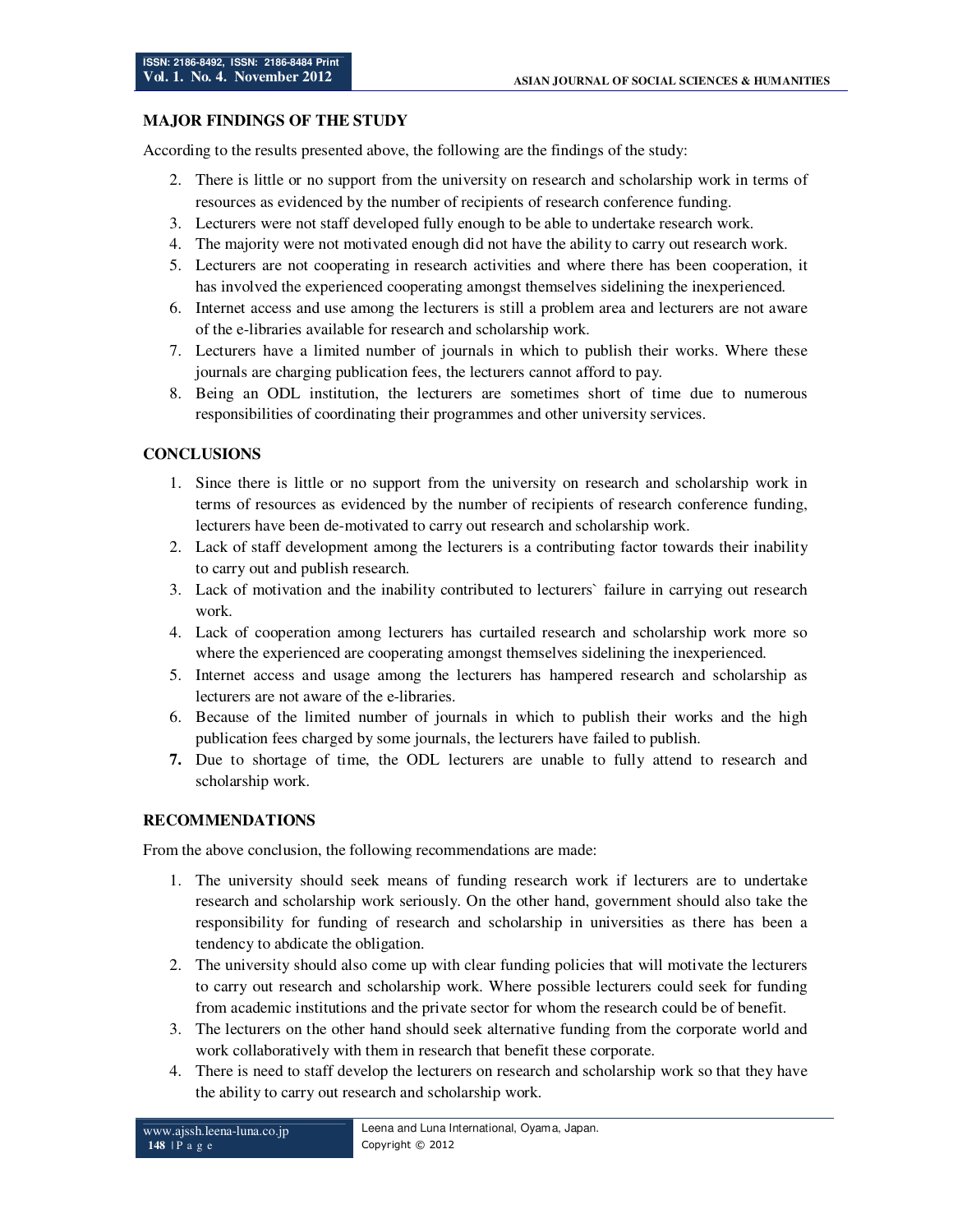### **MAJOR FINDINGS OF THE STUDY**

According to the results presented above, the following are the findings of the study:

- 2. There is little or no support from the university on research and scholarship work in terms of resources as evidenced by the number of recipients of research conference funding.
- 3. Lecturers were not staff developed fully enough to be able to undertake research work.
- 4. The majority were not motivated enough did not have the ability to carry out research work.
- 5. Lecturers are not cooperating in research activities and where there has been cooperation, it has involved the experienced cooperating amongst themselves sidelining the inexperienced.
- 6. Internet access and use among the lecturers is still a problem area and lecturers are not aware of the e-libraries available for research and scholarship work.
- 7. Lecturers have a limited number of journals in which to publish their works. Where these journals are charging publication fees, the lecturers cannot afford to pay.
- 8. Being an ODL institution, the lecturers are sometimes short of time due to numerous responsibilities of coordinating their programmes and other university services.

### **CONCLUSIONS**

- 1. Since there is little or no support from the university on research and scholarship work in terms of resources as evidenced by the number of recipients of research conference funding, lecturers have been de-motivated to carry out research and scholarship work.
- 2. Lack of staff development among the lecturers is a contributing factor towards their inability to carry out and publish research.
- 3. Lack of motivation and the inability contributed to lecturers` failure in carrying out research work.
- 4. Lack of cooperation among lecturers has curtailed research and scholarship work more so where the experienced are cooperating amongst themselves sidelining the inexperienced.
- 5. Internet access and usage among the lecturers has hampered research and scholarship as lecturers are not aware of the e-libraries.
- 6. Because of the limited number of journals in which to publish their works and the high publication fees charged by some journals, the lecturers have failed to publish.
- **7.** Due to shortage of time, the ODL lecturers are unable to fully attend to research and scholarship work.

### **RECOMMENDATIONS**

From the above conclusion, the following recommendations are made:

- 1. The university should seek means of funding research work if lecturers are to undertake research and scholarship work seriously. On the other hand, government should also take the responsibility for funding of research and scholarship in universities as there has been a tendency to abdicate the obligation.
- 2. The university should also come up with clear funding policies that will motivate the lecturers to carry out research and scholarship work. Where possible lecturers could seek for funding from academic institutions and the private sector for whom the research could be of benefit.
- 3. The lecturers on the other hand should seek alternative funding from the corporate world and work collaboratively with them in research that benefit these corporate.
- 4. There is need to staff develop the lecturers on research and scholarship work so that they have the ability to carry out research and scholarship work.